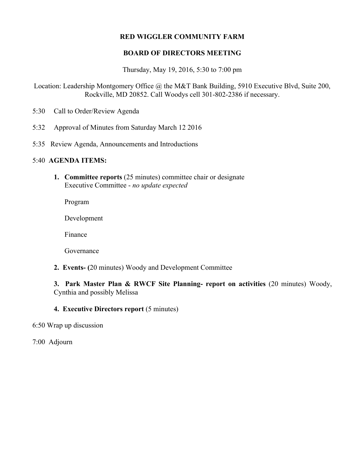## **RED WIGGLER COMMUNITY FARM**

## **BOARD OF DIRECTORS MEETING**

Thursday, May 19, 2016, 5:30 to 7:00 pm

Location: Leadership Montgomery Office @ the M&T Bank Building, 5910 Executive Blvd, Suite 200, Rockville, MD 20852. Call Woodys cell 301-802-2386 if necessary.

- 5:30 Call to Order/Review Agenda
- 5:32 Approval of Minutes from Saturday March 12 2016
- 5:35 Review Agenda, Announcements and Introductions

## 5:40 **AGENDA ITEMS:**

**1. Committee reports** (25 minutes) committee chair or designate Executive Committee - *no update expected*

Program

Development

Finance

Governance

**2. Events- (**20 minutes) Woody and Development Committee

**3. Park Master Plan & RWCF Site Planning- report on activities** (20 minutes) Woody, Cynthia and possibly Melissa

**4. Executive Directors report** (5 minutes)

6:50 Wrap up discussion

7:00 Adjourn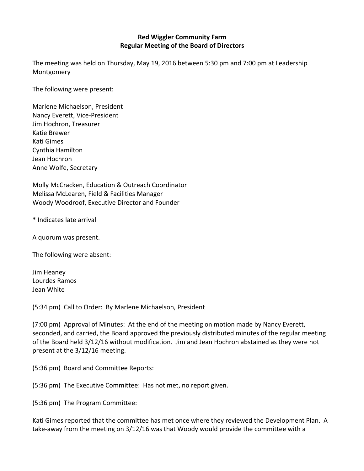## **Red Wiggler Community Farm Regular Meeting of the Board of Directors**

The meeting was held on Thursday, May 19, 2016 between 5:30 pm and 7:00 pm at Leadership Montgomery

The following were present:

Marlene Michaelson, President Nancy Everett, Vice-President Jim Hochron, Treasurer Katie Brewer Kati Gimes Cynthia Hamilton Jean Hochron Anne Wolfe, Secretary

Molly McCracken, Education & Outreach Coordinator Melissa McLearen, Field & Facilities Manager Woody Woodroof, Executive Director and Founder

**\*** Indicates late arrival

A quorum was present.

The following were absent:

Jim Heaney Lourdes Ramos Jean White

(5:34 pm) Call to Order: By Marlene Michaelson, President

(7:00 pm) Approval of Minutes: At the end of the meeting on motion made by Nancy Everett, seconded, and carried, the Board approved the previously distributed minutes of the regular meeting of the Board held 3/12/16 without modification. Jim and Jean Hochron abstained as they were not present at the  $3/12/16$  meeting.

(5:36 pm) Board and Committee Reports:

(5:36 pm) The Executive Committee: Has not met, no report given.

(5:36 pm) The Program Committee:

Kati Gimes reported that the committee has met once where they reviewed the Development Plan. A take-away from the meeting on  $3/12/16$  was that Woody would provide the committee with a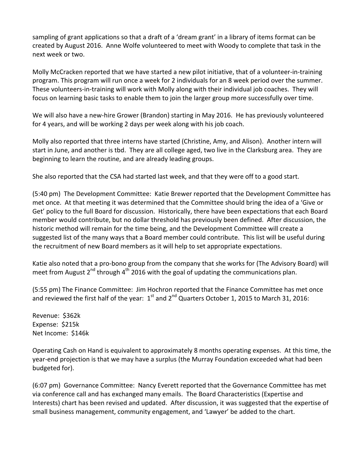sampling of grant applications so that a draft of a 'dream grant' in a library of items format can be created by August 2016. Anne Wolfe volunteered to meet with Woody to complete that task in the next week or two.

Molly McCracken reported that we have started a new pilot initiative, that of a volunteer-in-training program. This program will run once a week for 2 individuals for an 8 week period over the summer. These volunteers-in-training will work with Molly along with their individual job coaches. They will focus on learning basic tasks to enable them to join the larger group more successfully over time.

We will also have a new-hire Grower (Brandon) starting in May 2016. He has previously volunteered for 4 years, and will be working 2 days per week along with his job coach.

Molly also reported that three interns have started (Christine, Amy, and Alison). Another intern will start in June, and another is tbd. They are all college aged, two live in the Clarksburg area. They are beginning to learn the routine, and are already leading groups.

She also reported that the CSA had started last week, and that they were off to a good start.

(5:40 pm) The Development Committee: Katie Brewer reported that the Development Committee has met once. At that meeting it was determined that the Committee should bring the idea of a 'Give or Get' policy to the full Board for discussion. Historically, there have been expectations that each Board member would contribute, but no dollar threshold has previously been defined. After discussion, the historic method will remain for the time being, and the Development Committee will create a suggested list of the many ways that a Board member could contribute. This list will be useful during the recruitment of new Board members as it will help to set appropriate expectations.

Katie also noted that a pro-bono group from the company that she works for (The Advisory Board) will meet from August  $2^{nd}$  through 4<sup>th</sup> 2016 with the goal of updating the communications plan.

(5:55 pm) The Finance Committee: Jim Hochron reported that the Finance Committee has met once and reviewed the first half of the year:  $1^{st}$  and  $2^{nd}$  Quarters October 1, 2015 to March 31, 2016:

Revenue: \$362k Expense: \$215k Net Income: \$146k

Operating Cash on Hand is equivalent to approximately 8 months operating expenses. At this time, the year-end projection is that we may have a surplus (the Murray Foundation exceeded what had been budgeted for).

(6:07 pm) Governance Committee: Nancy Everett reported that the Governance Committee has met via conference call and has exchanged many emails. The Board Characteristics (Expertise and Interests) chart has been revised and updated. After discussion, it was suggested that the expertise of small business management, community engagement, and 'Lawyer' be added to the chart.